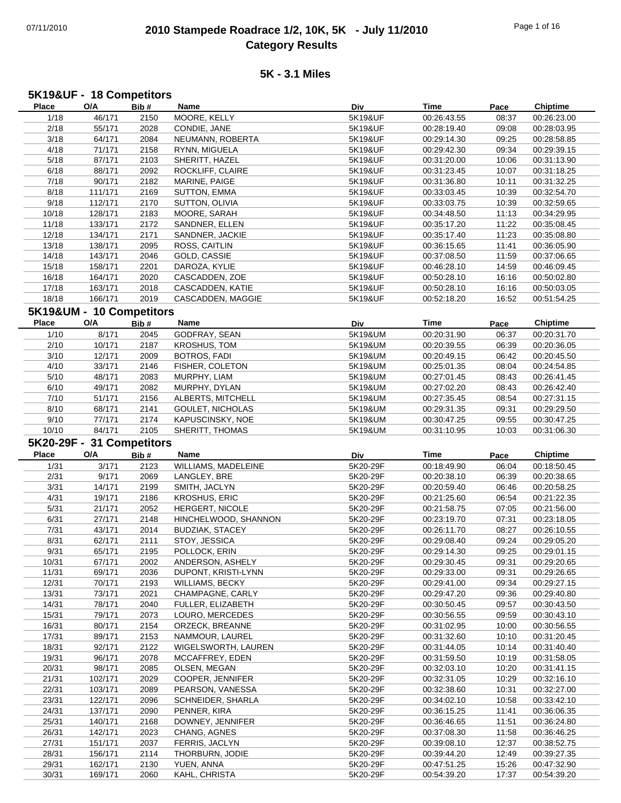# 07/11/2010 **2010 Stampede Roadrace 1/2, 10K, 5K - July 11/2010** Page 1 of 16 **Category Results**

## **5K - 3.1 Miles**

# **5K19&UF - 18 Competitors**

| <b>Place</b>             | O/A                     | Bib#         | Name                        | Div                  | Time                       | Pace           | <b>Chiptime</b>            |
|--------------------------|-------------------------|--------------|-----------------------------|----------------------|----------------------------|----------------|----------------------------|
| 1/18                     | 46/171                  | 2150         | MOORE, KELLY                | 5K19&UF              | 00:26:43.55                | 08:37          | 00:26:23.00                |
| 2/18                     | 55/171                  | 2028         | CONDIE, JANE                | 5K19&UF              | 00:28:19.40                | 09:08          | 00:28:03.95                |
| 3/18                     | 64/171                  | 2084         | NEUMANN, ROBERTA            | 5K19&UF              | 00:29:14.30                | 09:25          | 00:28:58.85                |
|                          |                         |              |                             |                      |                            |                |                            |
| 4/18                     | 71/171                  | 2158         | RYNN, MIGUELA               | 5K19&UF              | 00:29:42.30                | 09:34          | 00:29:39.15                |
| 5/18                     | 87/171                  | 2103         | SHERITT, HAZEL              | 5K19&UF              | 00:31:20.00                | 10:06          | 00:31:13.90                |
| 6/18                     | 88/171                  | 2092         | ROCKLIFF, CLAIRE            | 5K19&UF              | 00:31:23.45                | 10:07          | 00:31:18.25                |
| 7/18                     | 90/171                  | 2182         | MARINE, PAIGE               | 5K19&UF              | 00:31:36.80                | 10:11          | 00:31:32.25                |
| 8/18                     | 111/171                 | 2169         | <b>SUTTON, EMMA</b>         | 5K19&UF              | 00:33:03.45                | 10:39          | 00:32:54.70                |
| 9/18                     | 112/171                 | 2170         | SUTTON, OLIVIA              | 5K19&UF              | 00:33:03.75                | 10:39          | 00:32:59.65                |
| 10/18                    | 128/171                 | 2183         | MOORE, SARAH                | 5K19&UF              | 00:34:48.50                | 11:13          | 00:34:29.95                |
| 11/18                    | 133/171                 | 2172         | SANDNER, ELLEN              | 5K19&UF              | 00:35:17.20                | 11:22          | 00:35:08.45                |
|                          |                         |              |                             |                      |                            |                |                            |
| 12/18                    | 134/171                 | 2171         | SANDNER, JACKIE             | 5K19&UF              | 00:35:17.40                | 11:23          | 00:35:08.80                |
| 13/18                    | 138/171                 | 2095         | ROSS, CAITLIN               | 5K19&UF              | 00:36:15.65                | 11:41          | 00:36:05.90                |
| 14/18                    | 143/171                 | 2046         | GOLD, CASSIE                | 5K19&UF              | 00:37:08.50                | 11:59          | 00:37:06.65                |
| 15/18                    | 158/171                 | 2201         | DAROZA, KYLIE               | 5K19&UF              | 00:46:28.10                | 14:59          | 00:46:09.45                |
| 16/18                    | 164/171                 | 2020         | CASCADDEN, ZOE              | 5K19&UF              | 00:50:28.10                | 16:16          | 00:50:02.80                |
| 17/18                    | 163/171                 | 2018         | CASCADDEN, KATIE            | 5K19&UF              | 00:50:28.10                | 16:16          | 00:50:03.05                |
| 18/18                    | 166/171                 | 2019         | CASCADDEN, MAGGIE           | 5K19&UF              | 00:52:18.20                | 16:52          | 00:51:54.25                |
|                          |                         |              |                             |                      |                            |                |                            |
| 5K19&UM - 10 Competitors |                         |              |                             |                      |                            |                |                            |
| Place                    | O/A                     | Bib#         | <b>Name</b>                 | Div                  | <b>Time</b>                | Pace           | <b>Chiptime</b>            |
| 1/10                     | 8/171                   | 2045         | GODFRAY, SEAN               | 5K19&UM              | 00:20:31.90                | 06:37          | 00:20:31.70                |
| 2/10                     | 10/171                  | 2187         | KROSHUS, TOM                | 5K19&UM              | 00:20:39.55                | 06:39          | 00:20:36.05                |
| 3/10                     | 12/171                  | 2009         | <b>BOTROS, FADI</b>         | 5K19&UM              | 00:20:49.15                | 06:42          | 00:20:45.50                |
|                          |                         |              |                             |                      |                            |                |                            |
| 4/10                     | 33/171                  | 2146         | FISHER, COLETON             | 5K19&UM              | 00:25:01.35                | 08:04          | 00:24:54.85                |
| 5/10                     | 48/171                  | 2083         | MURPHY, LIAM                | 5K19&UM              | 00:27:01.45                | 08:43          | 00:26:41.45                |
| 6/10                     | 49/171                  | 2082         | MURPHY, DYLAN               | 5K19&UM              | 00:27:02.20                | 08:43          | 00:26:42.40                |
| 7/10                     | 51/171                  | 2156         | ALBERTS, MITCHELL           | 5K19&UM              | 00:27:35.45                | 08:54          | 00:27:31.15                |
| 8/10                     | 68/171                  | 2141         | GOULET, NICHOLAS            | 5K19&UM              | 00:29:31.35                | 09:31          | 00:29:29.50                |
| 9/10                     | 77/171                  | 2174         | KAPUSCINSKY, NOE            | 5K19&UM              | 00:30:47.25                | 09:55          | 00:30:47.25                |
| 10/10                    | 84/171                  | 2105         | SHERITT, THOMAS             | 5K19&UM              | 00:31:10.95                | 10:03          | 00:31:06.30                |
|                          |                         |              |                             |                      |                            |                |                            |
| 5K20-29F -               | 31 Competitors          |              |                             |                      |                            |                |                            |
|                          |                         |              |                             |                      |                            |                |                            |
| Place                    | $\mathsf{O}/\mathsf{A}$ | Bib#         | Name                        | Div                  | Time                       | Pace           | <b>Chiptime</b>            |
| 1/31                     | 3/171                   | 2123         | WILLIAMS, MADELEINE         | 5K20-29F             | 00:18:49.90                | 06:04          | 00:18:50.45                |
| 2/31                     | 9/171                   | 2069         | LANGLEY, BRE                | 5K20-29F             | 00:20:38.10                | 06:39          | 00:20:38.65                |
|                          |                         |              |                             |                      |                            |                |                            |
| 3/31                     | 14/171                  | 2199         | SMITH, JACLYN               | 5K20-29F             | 00:20:59.40                | 06:46          | 00:20:58.25                |
| 4/31                     | 19/171                  | 2186         | <b>KROSHUS, ERIC</b>        | 5K20-29F             | 00:21:25.60                | 06:54          | 00:21:22.35                |
| 5/31                     | 21/171                  | 2052         | HERGERT, NICOLE             | 5K20-29F             | 00:21:58.75                | 07:05          | 00:21:56.00                |
| 6/31                     | 27/171                  | 2148         | HINCHELWOOD, SHANNON        | 5K20-29F             | 00:23:19.70                | 07:31          | 00:23:18.05                |
| 7/31                     | 43/171                  | 2014         | <b>BUDZIAK, STACEY</b>      | 5K20-29F             | 00:26:11.70                | 08:27          | 00:26:10.55                |
| 8/31                     | 62/171                  | 2111         | STOY, JESSICA               | 5K20-29F             | 00:29:08.40                | 09:24          | 00:29:05.20                |
| 9/31                     | 65/171                  | 2195         | POLLOCK, ERIN               | 5K20-29F             | 00:29:14.30                | 09:25          | 00:29:01.15                |
| 10/31                    | 67/171                  | 2002         | ANDERSON, ASHELY            | 5K20-29F             | 00:29:30.45                | 09:31          | 00:29:20.65                |
| 11/31                    | 69/171                  | 2036         | DUPONT, KRISTI-LYNN         | 5K20-29F             | 00:29:33.00                | 09:31          | 00:29:26.65                |
|                          |                         |              |                             |                      |                            |                |                            |
| 12/31                    | 70/171                  | 2193         | WILLIAMS, BECKY             | 5K20-29F             | 00:29:41.00                | 09:34          | 00:29:27.15                |
| 13/31                    | 73/171                  | 2021         | CHAMPAGNE, CARLY            | 5K20-29F             | 00:29:47.20                | 09:36          | 00:29:40.80                |
| 14/31                    | 78/171                  | 2040         | FULLER, ELIZABETH           | 5K20-29F             | 00:30:50.45                | 09:57          | 00:30:43.50                |
| 15/31                    | 79/171                  | 2073         | LOURO, MERCEDES             | 5K20-29F             | 00:30:56.55                | 09:59          | 00:30:43.10                |
| 16/31                    | 80/171                  | 2154         | ORZECK, BREANNE             | 5K20-29F             | 00:31:02.95                | 10:00          | 00:30:56.55                |
| 17/31                    | 89/171                  | 2153         | NAMMOUR, LAUREL             | 5K20-29F             | 00:31:32.60                | 10:10          | 00:31:20.45                |
| 18/31                    | 92/171                  | 2122         | WIGELSWORTH, LAUREN         | 5K20-29F             | 00:31:44.05                | 10:14          | 00:31:40.40                |
| 19/31                    | 96/171                  | 2078         | MCCAFFREY, EDEN             | 5K20-29F             | 00:31:59.50                | 10:19          | 00:31:58.05                |
| 20/31                    | 98/171                  | 2085         | OLSEN, MEGAN                | 5K20-29F             | 00:32:03.10                | 10:20          | 00:31:41.15                |
|                          |                         |              | COOPER, JENNIFER            |                      |                            |                |                            |
| 21/31                    | 102/171                 | 2029         |                             | 5K20-29F             | 00:32:31.05                | 10:29          | 00:32:16.10                |
| 22/31                    | 103/171                 | 2089         | PEARSON, VANESSA            | 5K20-29F             | 00:32:38.60                | 10:31          | 00:32:27.00                |
| 23/31                    | 122/171                 | 2096         | SCHNEIDER, SHARLA           | 5K20-29F             | 00:34:02.10                | 10:58          | 00:33:42.10                |
| 24/31                    | 137/171                 | 2090         | PENNER, KIRA                | 5K20-29F             | 00:36:15.25                | 11:41          | 00:36:06.35                |
| 25/31                    | 140/171                 | 2168         | DOWNEY, JENNIFER            | 5K20-29F             | 00:36:46.65                | 11:51          | 00:36:24.80                |
| 26/31                    | 142/171                 | 2023         | CHANG, AGNES                | 5K20-29F             | 00:37:08.30                | 11:58          | 00:36:46.25                |
| 27/31                    | 151/171                 | 2037         | FERRIS, JACLYN              | 5K20-29F             | 00:39:08.10                | 12:37          | 00:38:52.75                |
| 28/31                    | 156/171                 | 2114         | THORBURN, JODIE             | 5K20-29F             | 00:39:44.20                | 12:49          | 00:39:27.35                |
|                          |                         |              |                             |                      |                            |                |                            |
| 29/31<br>30/31           | 162/171<br>169/171      | 2130<br>2060 | YUEN, ANNA<br>KAHL, CHRISTA | 5K20-29F<br>5K20-29F | 00:47:51.25<br>00:54:39.20 | 15:26<br>17:37 | 00:47:32.90<br>00:54:39.20 |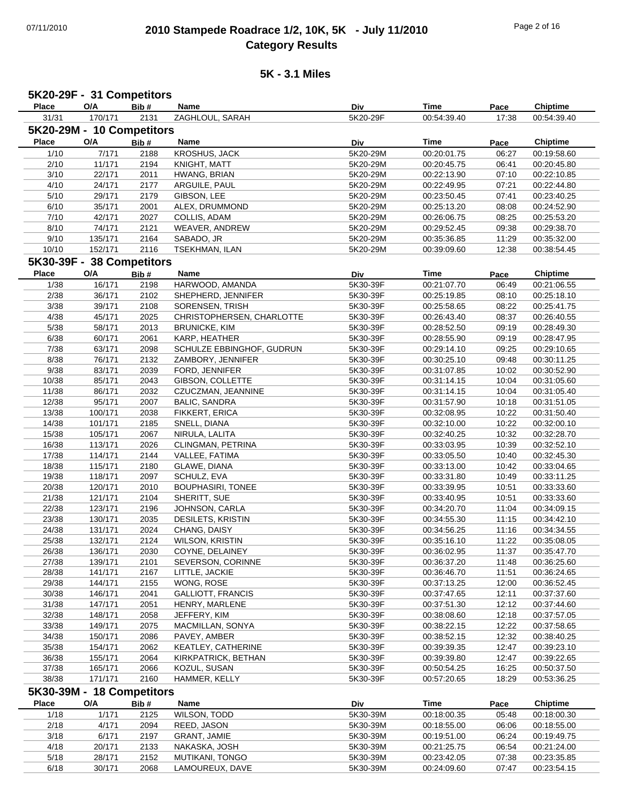# 07/11/2010 **2010 Stampede Roadrace 1/2, 10K, 5K - July 11/2010** Page 2 of 16 **Category Results**

### **5K - 3.1 Miles**

#### **Place Name O/A Bib # Time Pace Chiptime 5K20-29F - 31 Competitors Div** 31/31 170/171 2131 ZAGHLOUL, SARAH 5K20-29F 00:54:39.40 17:38 00:54:39.40 **Place Name O/A Bib # Time Pace Chiptime 5K20-29M - 10 Competitors Div** 1/10 7/171 2188 KROSHUS, JACK 6K20-29M 00:20:01.75 06:27 00:19:58.60 2/10 11/171 2194 KNIGHT, MATT 5K20-29M 00:20:45.75 06:41 00:20:45.80 3/10 HWANG, BRIAN 22/171 2011 5K20-29M 00:22:10.85 00:22:13.90 07:10 4/10 ARGUILE, PAUL 24/171 2177 5K20-29M 00:22:44.80 00:22:49.95 07:21 5/10 GIBSON, LEE 29/171 2179 5K20-29M 00:23:40.25 00:23:50.45 07:41 6/10 ALEX, DRUMMOND 35/171 2001 5K20-29M 00:24:52.90 00:25:13.20 08:08 7/10 COLLIS, ADAM 42/171 2027 5K20-29M 00:25:53.20 00:26:06.75 08:25 8/10 74/171 2121 WEAVER, ANDREW 5K20-29M 00:29:52.45 09:38 00:29:38.70 9/10 135/171 2164 SABADO, JR 5K20-29M 00:35:36.85 11:29 00:35:32.00 10/10 TSEKHMAN, ILAN 152/171 2116 5K20-29M 00:38:54.45 00:39:09.60 12:38 **Place Name O/A Bib # Time Pace Chiptime 5K30-39F - 38 Competitors Div** 1/38 16/171 2198 HARWOOD, AMANDA 16X30-39F 00:21:07.70 06:49 00:21:06.55 2/38 36/171 2102 SHEPHERD, JENNIFER 5K30-39F 00:25:19.85 08:10 00:25:18.10 3/38 39/171 2108 SORENSEN, TRISH 5K30-39F 00:25:58.65 08:22 00:25:41.75 4/38 45/171 2025 CHRISTOPHERSEN, CHARLOTTE 5K30-39F 00:26:43.40 08:37 00:26:40.55 5/38 BRUNICKE, KIM 58/171 2013 5K30-39F 00:28:49.30 00:28:52.50 09:19 6/38 60/171 2061 KARP, HEATHER 5K30-39F 00:28:55.90 09:19 00:28:47.95 7/38 SCHULZE EBBINGHOF, GUDRUN 63/171 2098 5K30-39F 00:29:10.65 00:29:14.10 09:25 8/38 76/171 2132 ZAMBORY, JENNIFER 5K30-39F 00:30:25.10 09:48 00:30:11.25 9/38 83/171 2039 FORD, JENNIFER 5K30-39F 00:31:07.85 10:02 00:30:52.90 10/38 85/171 2043 GIBSON, COLLETTE 5K30-39F 00:31:14.15 10:04 00:31:105.60 11/38 86/171 2032 CZUCZMAN, JEANNINE 5K30-39F 00:31:14.15 10:04 00:31:105.40 12/38 95/171 2007 BALIC, SANDRA 5K30-39F 00:31:57.90 10:18 00:31:51.05 13/38 100/171 2038 FIKKERT, ERICA 1630-39F 10:32:08.95 10:22 00:31:50.40 14/38 101/171 2185 SNELL, DIANA 5K30-39F 00:32:10.00 10:22 00:32:00.10 15/38 105/171 2067 NIRULA, LALITA 105/38 5K30-39F 00:32:40.25 10:32 00:32:28.70 16/38 CLINGMAN, PETRINA 113/171 2026 5K30-39F 00:32:52.10 00:33:03.95 10:39 17/38 VALLEE, FATIMA 114/171 2144 5K30-39F 00:32:45.30 00:33:05.50 10:40 18/38 GLAWE, DIANA 115/171 2180 5K30-39F 00:33:04.65 00:33:13.00 10:42 19/38 SCHULZ, EVA 118/171 2097 5K30-39F 00:33:11.25 00:33:31.80 10:49 20/38 120/171 2010 BOUPHASIRI, TONEE 10:33:39.95 10:51 10:51 00:33:33.60 21/38 SHERITT, SUE 121/171 2104 5K30-39F 00:33:33.60 00:33:40.95 10:51 22/38 123/171 2196 JOHNSON, CARLA 123/170 5K30-39F 00:34:20.70 11:04 00:34:09.15 23/38 130/171 2035 DESILETS, KRISTIN 5K30-39F 00:34:55.30 11:15 00:34:42.10 24/38 131/171 2024 CHANG, DAISY 15K30-39F 00:34:56.25 11:16 00:34:34.55 25/38 WILSON, KRISTIN 132/171 2124 5K30-39F 00:35:08.05 00:35:16.10 11:22 26/38 136/171 2030 COYNE, DELAINEY 5K30-39F 00:36:02.95 11:37 00:35:47.70 27/38 139/171 2101 SEVERSON, CORINNE 15K30-39F 00:36:37.20 11:48 00:36:25.60 28/38 141/171 2167 LITTLE, JACKIE 15K30-39F 00:36:46.70 11:51 00:36:24.65 29/38 144/171 2155 WONG, ROSE 5K30-39F 00:37:13.25 12:00 00:36:52.45 30/38 GALLIOTT, FRANCIS 146/171 2041 5K30-39F 00:37:37.60 00:37:47.65 12:11 31/38 147/171 2051 HENRY, MARLENE 147/171 5K30-39F 00:37:51.30 12:12 00:37:44.60 32/38 148/171 2058 JEFFERY, KIM 5K30-39F 00:38:08.60 12:18 00:37:57.05 33/38 MACMILLAN, SONYA 149/171 2075 5K30-39F 00:37:58.65 00:38:22.15 12:22 34/38 150/171 2086 PAVEY, AMBER 5K30-39F 00:38:52.15 12:32 00:38:40.25 35/38 KEATLEY, CATHERINE 154/171 2062 5K30-39F 00:39:23.10 00:39:39.35 12:47 36/38 KIRKPATRICK, BETHAN 155/171 2064 5K30-39F 00:39:22.65 00:39:39.80 12:47 37/38 KOZUL, SUSAN 165/171 2066 5K30-39F 00:50:37.50 00:50:54.25 16:25 38/38 171/171 2160 HAMMER, KELLY 5K30-39F 00:57:20.65 18:29 00:53:36.25 **Place Name O/A Bib # Time Pace Chiptime 5K30-39M - 18 Competitors Div** 1/18 1/171 2125 WILSON, TODD 10 5K30-39M 00:18:00.35 05:48 00:18:00.30 2/18 REED, JASON 4/171 2094 5K30-39M 00:18:55.00 00:18:55.00 06:06 3/18 GRANT, JAMIE 6/171 2197 5K30-39M 00:19:49.75 00:19:51.00 06:24 4/18 NAKASKA, JOSH 20/171 2133 5K30-39M 00:21:24.00 00:21:25.75 06:54 5/18 28/171 2152 MUTIKANI, TONGO 26/30-39M 00:23:42.05 07:38 00:23:35.85 6/18 LAMOUREUX, DAVE 30/171 2068 5K30-39M 00:23:54.15 00:24:09.60 07:47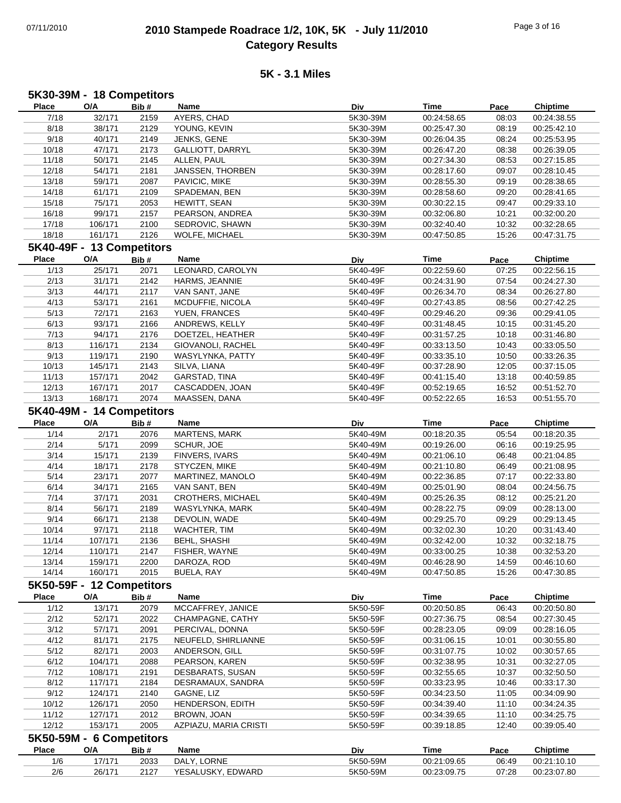# 07/11/2010 **2010 Stampede Roadrace 1/2, 10K, 5K - July 11/2010** Page 3 of 16 **Category Results**

## **5K - 3.1 Miles**

# **5K30-39M - 18 Competitors**

| Place        | O/A                       | Bib#                 | Name                     | Div        | Time        | Pace  | <b>Chiptime</b> |
|--------------|---------------------------|----------------------|--------------------------|------------|-------------|-------|-----------------|
| 7/18         | 32/171                    | 2159                 | AYERS, CHAD              | 5K30-39M   | 00:24:58.65 | 08:03 | 00:24:38.55     |
| 8/18         | 38/171                    | 2129                 | YOUNG, KEVIN             | 5K30-39M   | 00:25:47.30 | 08:19 | 00:25:42.10     |
| 9/18         | 40/171                    | 2149                 | JENKS, GENE              | 5K30-39M   | 00:26:04.35 | 08:24 | 00:25:53.95     |
| 10/18        | 47/171                    | 2173                 | GALLIOTT, DARRYL         | 5K30-39M   | 00:26:47.20 | 08:38 | 00:26:39.05     |
| 11/18        | 50/171                    | 2145                 | ALLEN, PAUL              | 5K30-39M   | 00:27:34.30 | 08:53 | 00:27:15.85     |
| 12/18        | 54/171                    | 2181                 | JANSSEN, THORBEN         | 5K30-39M   | 00:28:17.60 | 09:07 | 00:28:10.45     |
| 13/18        | 59/171                    | 2087                 | PAVICIC, MIKE            | 5K30-39M   | 00:28:55.30 | 09:19 | 00:28:38.65     |
| 14/18        | 61/171                    | 2109                 | SPADEMAN, BEN            | 5K30-39M   | 00:28:58.60 | 09:20 | 00:28:41.65     |
| 15/18        | 75/171                    | 2053                 | HEWITT, SEAN             | 5K30-39M   | 00:30:22.15 | 09:47 | 00:29:33.10     |
| 16/18        | 99/171                    | 2157                 | PEARSON, ANDREA          | 5K30-39M   | 00:32:06.80 | 10:21 | 00:32:00.20     |
| 17/18        | 106/171                   | 2100                 | SEDROVIC, SHAWN          | 5K30-39M   | 00:32:40.40 | 10:32 | 00:32:28.65     |
| 18/18        | 161/171                   | 2126                 | WOLFE, MICHAEL           | 5K30-39M   | 00:47:50.85 | 15:26 | 00:47:31.75     |
|              | 5K40-49F - 13 Competitors |                      |                          |            |             |       |                 |
| Place        | O/A                       | Bib#                 | Name                     | Div        | Time        | Pace  | <b>Chiptime</b> |
| 1/13         | 25/171                    | 2071                 | LEONARD, CAROLYN         | 5K40-49F   | 00:22:59.60 | 07:25 | 00:22:56.15     |
|              |                           |                      |                          | 5K40-49F   |             |       |                 |
| 2/13         | 31/171                    | 2142                 | HARMS, JEANNIE           |            | 00:24:31.90 | 07:54 | 00:24:27.30     |
| 3/13         | 44/171                    | 2117                 | VAN SANT, JANE           | 5K40-49F   | 00:26:34.70 | 08:34 | 00:26:27.80     |
| 4/13         | 53/171                    | 2161                 | MCDUFFIE, NICOLA         | 5K40-49F   | 00:27:43.85 | 08:56 | 00:27:42.25     |
| 5/13         | 72/171                    | 2163                 | YUEN, FRANCES            | 5K40-49F   | 00:29:46.20 | 09:36 | 00:29:41.05     |
| 6/13         | 93/171                    | 2166                 | ANDREWS, KELLY           | 5K40-49F   | 00:31:48.45 | 10:15 | 00:31:45.20     |
| 7/13         | 94/171                    | 2176                 | DOETZEL, HEATHER         | 5K40-49F   | 00:31:57.25 | 10:18 | 00:31:46.80     |
| 8/13         | 116/171                   | 2134                 | GIOVANOLI, RACHEL        | 5K40-49F   | 00:33:13.50 | 10:43 | 00:33:05.50     |
| 9/13         | 119/171                   | 2190                 | WASYLYNKA, PATTY         | 5K40-49F   | 00:33:35.10 | 10:50 | 00:33:26.35     |
| 10/13        | 145/171                   | 2143                 | SILVA, LIANA             | 5K40-49F   | 00:37:28.90 | 12:05 | 00:37:15.05     |
| 11/13        | 157/171                   | 2042                 | GARSTAD, TINA            | 5K40-49F   | 00:41:15.40 | 13:18 | 00:40:59.85     |
| 12/13        | 167/171                   | 2017                 | CASCADDEN, JOAN          | 5K40-49F   | 00:52:19.65 | 16:52 | 00:51:52.70     |
| 13/13        | 168/171                   | 2074                 | MAASSEN, DANA            | 5K40-49F   | 00:52:22.65 | 16:53 | 00:51:55.70     |
|              | 5K40-49M - 14 Competitors |                      |                          |            |             |       |                 |
| <b>Place</b> | O/A                       | Bib#                 | Name                     | Div        | <b>Time</b> | Pace  | <b>Chiptime</b> |
| 1/14         | 2/171                     | 2076                 | MARTENS, MARK            | 5K40-49M   | 00:18:20.35 | 05:54 | 00:18:20.35     |
| 2/14         | 5/171                     | 2099                 | SCHUR, JOE               | 5K40-49M   | 00:19:26.00 | 06:16 | 00:19:25.95     |
| 3/14         | 15/171                    | 2139                 | FINVERS, IVARS           | 5K40-49M   | 00:21:06.10 | 06:48 | 00:21:04.85     |
| 4/14         | 18/171                    | 2178                 | STYCZEN, MIKE            | 5K40-49M   | 00:21:10.80 | 06:49 | 00:21:08.95     |
| 5/14         | 23/171                    | 2077                 | MARTINEZ, MANOLO         | 5K40-49M   | 00:22:36.85 | 07:17 | 00:22:33.80     |
| 6/14         | 34/171                    | 2165                 | VAN SANT, BEN            | 5K40-49M   | 00:25:01.90 | 08:04 | 00:24:56.75     |
| 7/14         | 37/171                    | 2031                 | <b>CROTHERS, MICHAEL</b> | 5K40-49M   | 00:25:26.35 | 08:12 | 00:25:21.20     |
| 8/14         | 56/171                    | 2189                 | WASYLYNKA, MARK          | 5K40-49M   | 00:28:22.75 | 09:09 | 00:28:13.00     |
| 9/14         | 66/171                    | 2138                 | DEVOLIN, WADE            | 5K40-49M   | 00:29:25.70 | 09:29 | 00:29:13.45     |
| 10/14        | 97/171                    | 2118                 | WACHTER, TIM             | 5K40-49M   | 00:32:02.30 | 10:20 | 00:31:43.40     |
| 11/14        | 107/171                   | 2136                 | BEHL, SHASHI             | 5K40-49M   | 00:32:42.00 | 10:32 | 00:32:18.75     |
| 12/14        | 110/171                   | 2147                 | FISHER, WAYNE            | 5K40-49M   | 00:33:00.25 | 10:38 | 00:32:53.20     |
| 13/14        | 159/171                   | 2200                 | DAROZA, ROD              | 5K40-49M   | 00:46:28.90 | 14:59 | 00:46:10.60     |
| 14/14        | 160/171                   | 2015                 | BUELA, RAY               | 5K40-49M   | 00:47:50.85 | 15:26 | 00:47:30.85     |
|              | 5K50-59F - 12 Competitors |                      |                          |            |             |       |                 |
| <b>Place</b> | O/A                       | Bib#                 | Name                     | <b>Div</b> | <b>Time</b> | Pace  | Chiptime        |
| 1/12         | 13/171                    | 2079                 | MCCAFFREY, JANICE        | 5K50-59F   | 00:20:50.85 | 06:43 | 00:20:50.80     |
| 2/12         | 52/171                    | 2022                 | CHAMPAGNE, CATHY         | 5K50-59F   | 00:27:36.75 | 08:54 | 00:27:30.45     |
| 3/12         | 57/171                    | 2091                 | PERCIVAL, DONNA          | 5K50-59F   | 00:28:23.05 | 09:09 | 00:28:16.05     |
| 4/12         | 81/171                    | 2175                 | NEUFELD, SHIRLIANNE      | 5K50-59F   | 00:31:06.15 | 10:01 | 00:30:55.80     |
| 5/12         | 82/171                    | 2003                 | ANDERSON, GILL           | 5K50-59F   | 00:31:07.75 | 10:02 | 00:30:57.65     |
| 6/12         | 104/171                   | 2088                 | PEARSON, KAREN           | 5K50-59F   | 00:32:38.95 | 10:31 | 00:32:27.05     |
| 7/12         | 108/171                   | 2191                 | DESBARATS, SUSAN         | 5K50-59F   | 00:32:55.65 | 10:37 | 00:32:50.50     |
| 8/12         | 117/171                   | 2184                 | DESRAMAUX, SANDRA        | 5K50-59F   | 00:33:23.95 | 10:46 | 00:33:17.30     |
| 9/12         | 124/171                   | 2140                 | GAGNE, LIZ               | 5K50-59F   | 00:34:23.50 | 11:05 | 00:34:09.90     |
| 10/12        | 126/171                   | 2050                 | HENDERSON, EDITH         | 5K50-59F   | 00:34:39.40 | 11:10 | 00:34:24.35     |
| 11/12        | 127/171                   | 2012                 | BROWN, JOAN              | 5K50-59F   | 00:34:39.65 | 11:10 | 00:34:25.75     |
| 12/12        | 153/171                   | 2005                 | AZPIAZU, MARIA CRISTI    | 5K50-59F   | 00:39:18.85 | 12:40 | 00:39:05.40     |
|              |                           |                      |                          |            |             |       |                 |
| 5K50-59M -   |                           | <b>6 Competitors</b> |                          |            |             |       |                 |
| Place        | $\mathsf{O}/\mathsf{A}$   | Bib #                | Name                     | Div        | Time        | Pace  | <b>Chiptime</b> |
| 1/6          | 17/171                    | 2033                 | DALY, LORNE              | 5K50-59M   | 00:21:09.65 | 06:49 | 00:21:10.10     |
| 2/6          | 26/171                    | 2127                 | YESALUSKY, EDWARD        | 5K50-59M   | 00:23:09.75 | 07:28 | 00:23:07.80     |